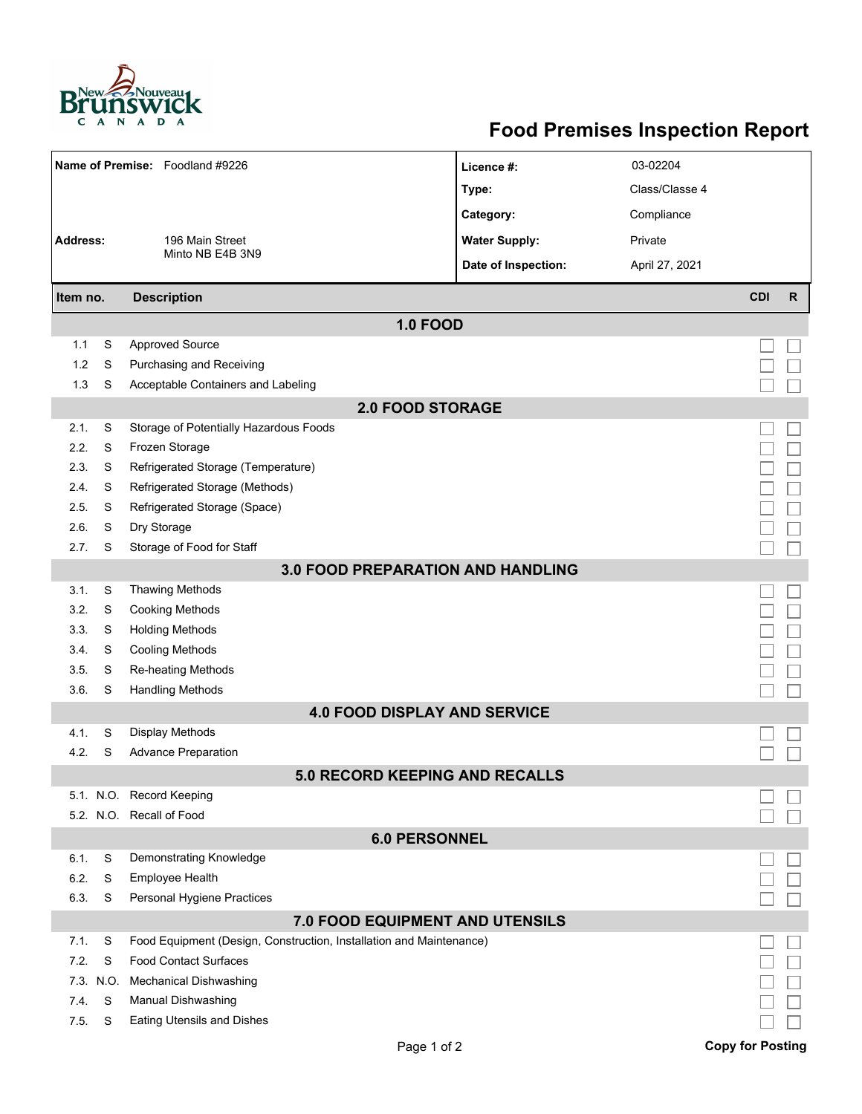

## **Food Premises Inspection Report**

|                                          |      | Name of Premise: Foodland #9226                                     | Licence #:                            | 03-02204       |                         |              |  |  |  |
|------------------------------------------|------|---------------------------------------------------------------------|---------------------------------------|----------------|-------------------------|--------------|--|--|--|
|                                          |      |                                                                     | Type:                                 | Class/Classe 4 |                         |              |  |  |  |
|                                          |      |                                                                     | Category:                             | Compliance     |                         |              |  |  |  |
| <b>Address:</b>                          |      | 196 Main Street                                                     | <b>Water Supply:</b>                  | Private        |                         |              |  |  |  |
|                                          |      | Minto NB E4B 3N9                                                    | Date of Inspection:                   | April 27, 2021 |                         |              |  |  |  |
| Item no.                                 |      | <b>Description</b>                                                  |                                       |                | <b>CDI</b>              | $\mathsf{R}$ |  |  |  |
|                                          |      |                                                                     |                                       |                |                         |              |  |  |  |
|                                          |      |                                                                     | <b>1.0 FOOD</b>                       |                |                         |              |  |  |  |
| 1.1                                      | S    | <b>Approved Source</b>                                              |                                       |                |                         |              |  |  |  |
| 1.2                                      | S    | Purchasing and Receiving                                            |                                       |                |                         |              |  |  |  |
| 1.3                                      | S    | Acceptable Containers and Labeling                                  |                                       |                |                         |              |  |  |  |
| <b>2.0 FOOD STORAGE</b>                  |      |                                                                     |                                       |                |                         |              |  |  |  |
| 2.1.                                     | S    | Storage of Potentially Hazardous Foods                              |                                       |                |                         |              |  |  |  |
| 2.2.                                     | S    | Frozen Storage                                                      |                                       |                |                         |              |  |  |  |
| 2.3.                                     | S    | Refrigerated Storage (Temperature)                                  |                                       |                |                         |              |  |  |  |
| 2.4.                                     | S    | Refrigerated Storage (Methods)                                      |                                       |                |                         |              |  |  |  |
| 2.5.                                     | S    | Refrigerated Storage (Space)                                        |                                       |                |                         |              |  |  |  |
| 2.6.                                     | S    | Dry Storage                                                         |                                       |                |                         |              |  |  |  |
| 2.7.                                     | S    | Storage of Food for Staff                                           |                                       |                |                         |              |  |  |  |
| <b>3.0 FOOD PREPARATION AND HANDLING</b> |      |                                                                     |                                       |                |                         |              |  |  |  |
| 3.1.                                     | S    | <b>Thawing Methods</b>                                              |                                       |                |                         |              |  |  |  |
| 3.2.                                     | S    | <b>Cooking Methods</b>                                              |                                       |                |                         |              |  |  |  |
| 3.3.                                     | S    | <b>Holding Methods</b>                                              |                                       |                |                         |              |  |  |  |
| 3.4.                                     | S    | <b>Cooling Methods</b>                                              |                                       |                |                         |              |  |  |  |
| 3.5.                                     | S    | Re-heating Methods                                                  |                                       |                |                         |              |  |  |  |
| 3.6.                                     | S    | <b>Handling Methods</b>                                             |                                       |                |                         |              |  |  |  |
|                                          |      |                                                                     | <b>4.0 FOOD DISPLAY AND SERVICE</b>   |                |                         |              |  |  |  |
| 4.1.                                     | S    | Display Methods                                                     |                                       |                |                         |              |  |  |  |
| 4.2.                                     | S    | <b>Advance Preparation</b>                                          |                                       |                |                         |              |  |  |  |
|                                          |      |                                                                     | <b>5.0 RECORD KEEPING AND RECALLS</b> |                |                         |              |  |  |  |
|                                          |      | 5.1. N.O. Record Keeping                                            |                                       |                |                         |              |  |  |  |
|                                          |      | 5.2. N.O. Recall of Food                                            |                                       |                |                         |              |  |  |  |
| <b>6.0 PERSONNEL</b>                     |      |                                                                     |                                       |                |                         |              |  |  |  |
| 6.1.                                     | S    | Demonstrating Knowledge                                             |                                       |                |                         |              |  |  |  |
| 6.2.                                     | S    | Employee Health                                                     |                                       |                |                         |              |  |  |  |
| 6.3.                                     | S    | Personal Hygiene Practices                                          |                                       |                |                         |              |  |  |  |
| <b>7.0 FOOD EQUIPMENT AND UTENSILS</b>   |      |                                                                     |                                       |                |                         |              |  |  |  |
| 7.1.                                     | S    | Food Equipment (Design, Construction, Installation and Maintenance) |                                       |                |                         |              |  |  |  |
| 7.2.                                     | S    | <b>Food Contact Surfaces</b>                                        |                                       |                |                         |              |  |  |  |
| 7.3.                                     | N.O. | <b>Mechanical Dishwashing</b>                                       |                                       |                |                         |              |  |  |  |
| 7.4.                                     | S    | Manual Dishwashing                                                  |                                       |                |                         |              |  |  |  |
| 7.5.                                     | S    | <b>Eating Utensils and Dishes</b>                                   |                                       |                |                         |              |  |  |  |
|                                          |      |                                                                     | Page 1 of 2                           |                | <b>Copy for Posting</b> |              |  |  |  |